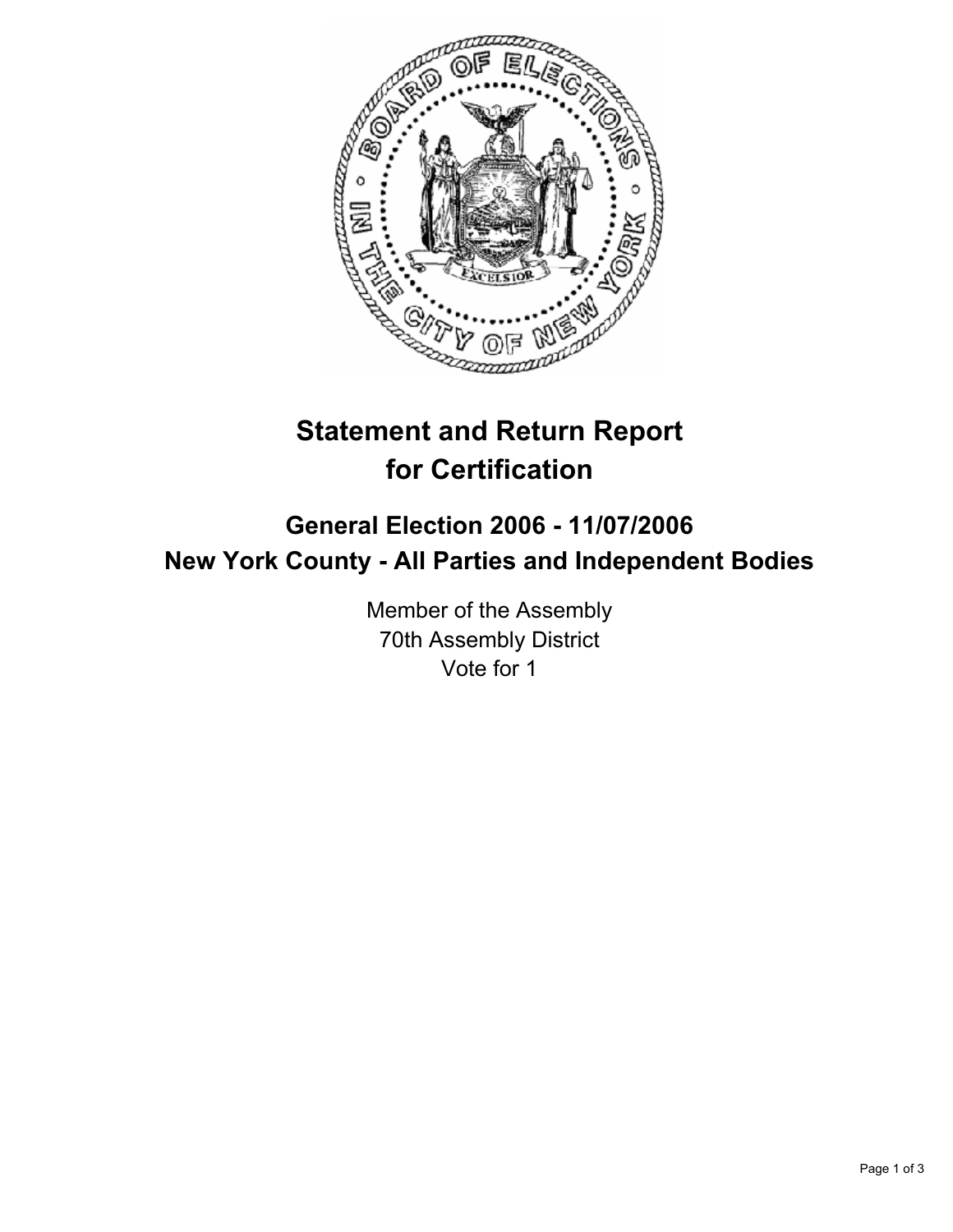

# **Statement and Return Report for Certification**

## **General Election 2006 - 11/07/2006 New York County - All Parties and Independent Bodies**

Member of the Assembly 70th Assembly District Vote for 1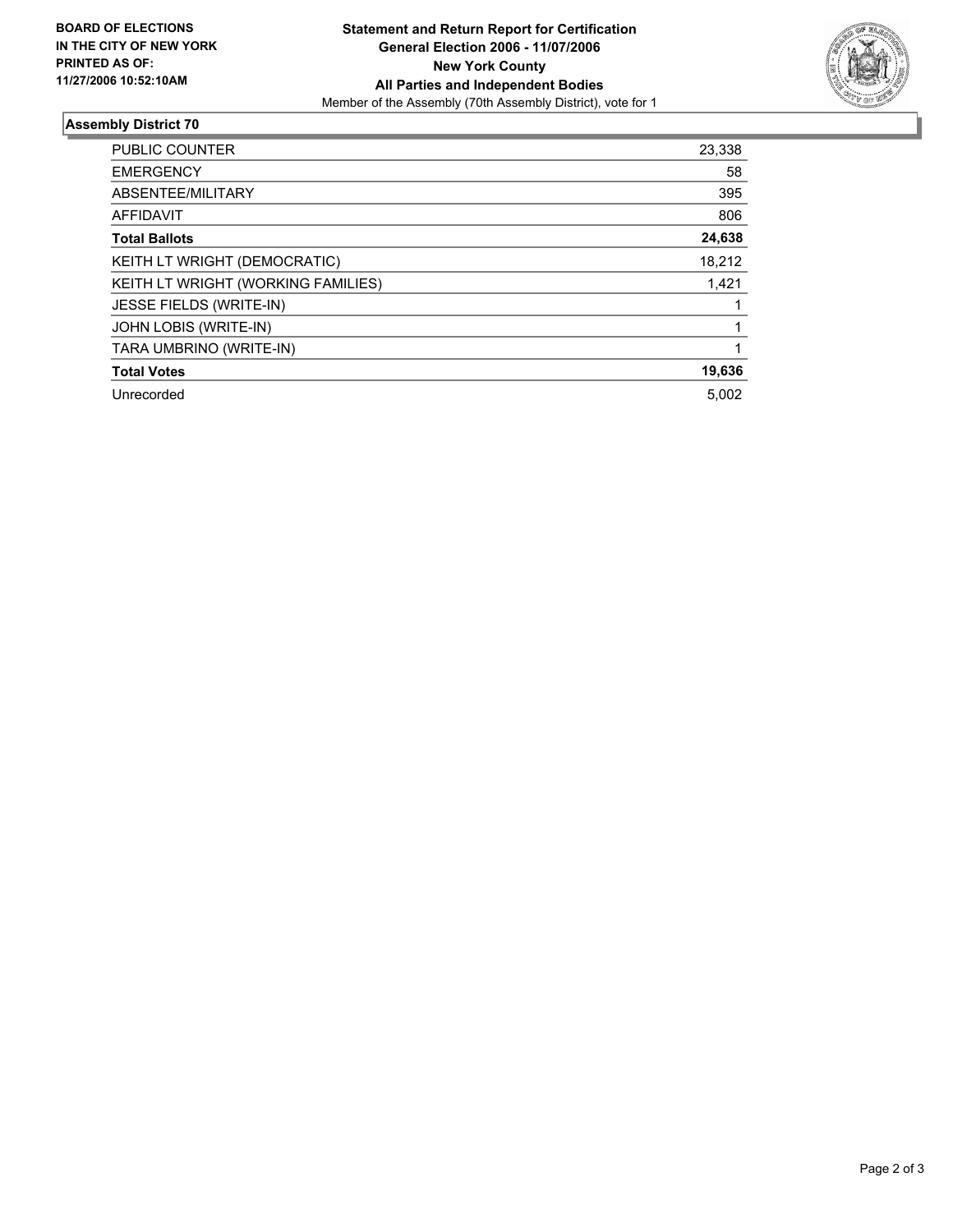

### **Assembly District 70**

| <b>PUBLIC COUNTER</b>              | 23,338 |
|------------------------------------|--------|
| <b>EMERGENCY</b>                   | 58     |
| ABSENTEE/MILITARY                  | 395    |
| AFFIDAVIT                          | 806    |
| <b>Total Ballots</b>               | 24,638 |
| KEITH LT WRIGHT (DEMOCRATIC)       | 18,212 |
| KEITH LT WRIGHT (WORKING FAMILIES) | 1,421  |
| JESSE FIELDS (WRITE-IN)            |        |
| JOHN LOBIS (WRITE-IN)              |        |
| TARA UMBRINO (WRITE-IN)            |        |
| <b>Total Votes</b>                 | 19,636 |
| Unrecorded                         | 5,002  |